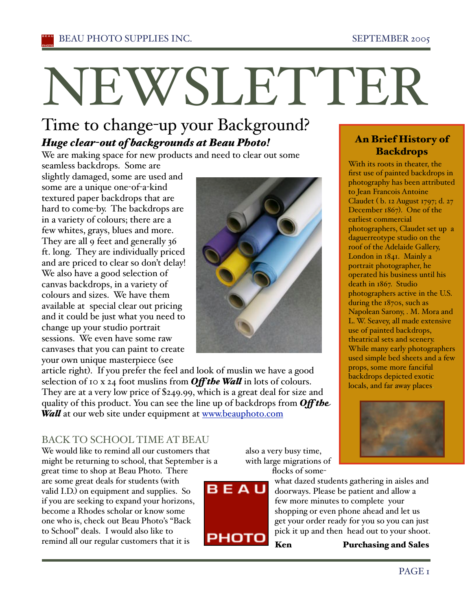# NEWSLETTER

# Time to change-up your Background? *Huge clear-out of backgrounds at Beau Photo!*

We are making space for new products and need to clear out some

seamless backdrops. Some are slightly damaged, some are used and some are a unique one-of-a-kind textured paper backdrops that are hard to come-by. The backdrops are in a variety of colours; there are a few whites, grays, blues and more. They are all 9 feet and generally 36 ft. long. They are individually priced and are priced to clear so don't delay! We also have a good selection of canvas backdrops, in a variety of colours and sizes. We have them available at special clear out pricing and it could be just what you need to change up your studio portrait sessions. We even have some raw canvases that you can paint to create your own unique masterpiece (see



article right). If you prefer the feel and look of muslin we have a good selection of 10 x 24 foot muslins from *Off the Wa#* in lots of colours. They are at a very low price of \$249.99, which is a great deal for size and quality of this product. You can see the line up of backdrops from *Off the Wall* at our web site under equipment at www.beauphoto.com

# BACK TO SCHOOL TIME AT BEAU

We would like to remind all our customers that might be returning to school, that September is a great time to shop at Beau Photo. There are some great deals for students (with valid I.D.) on equipment and supplies. So if you are seeking to expand your horizons, become a Rhodes scholar or know some one who is, check out Beau Photo's "Back to School" deals. I would also like to remind all our regular customers that it is

also a very busy time, with large migrations of



flocks of somewhat dazed students gathering in aisles and doorways. Please be patient and allow a few more minutes to complete your

shopping or even phone ahead and let us get your order ready for you so you can just pick it up and then head out to your shoot.

Ken Purchasing and Sales

## An Brief History of **Backdrops**

With its roots in theater, the first use of painted backdrops in photography has been attributed to Jean Francois Antoine Claudet ( b. 12 August 1797; d. 27 December 1867). One of the earliest commercial photographers, Claudet set up a daguerreotype studio on the roof of the Adelaide Gallery, London in 1841. Mainly a portrait photographer, he operated his business until his death in 1867. Studio photographers active in the U.S. during the 1870s, such as Napolean Sarony, . M. Mora and L. W. Seavey, all made extensive use of painted backdrops, theatrical sets and scenery. While many early photographers used simple bed sheets and a few props, some more fanciful backdrops depicted exotic locals, and far away places.

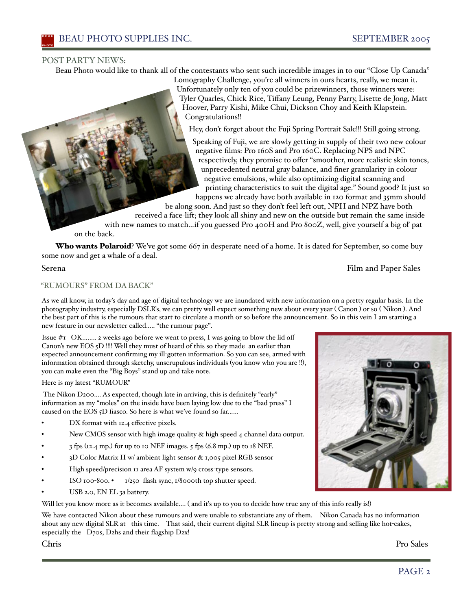#### POST PARTY NEWS:

Beau Photo would like to thank all of the contestants who sent such incredible images in to our "Close Up Canada"

Lomography Challenge, you're all winners in ours hearts, really, we mean it. Unfortunately only ten of you could be prizewinners, those winners were: Tyler Quarles, Chick Rice, Tiffany Leung, Penny Parry, Lisette de Jong, Matt Hoover, Parry Kishi, Mike Chui, Dickson Choy and Keith Klapstein. Congratulations!!

Hey, don't forget about the Fuji Spring Portrait Sale!!! Still going strong.

Speaking of Fuji, we are slowly getting in supply of their two new colour negative films: Pro 160S and Pro 160C. Replacing NPS and NPC respectively, they promise to offer "smoother, more realistic skin tones, unprecedented neutral gray balance, and finer granularity in colour negative emulsions, while also optimizing digital scanning and printing characteristics to suit the digital age." Sound good? It just so happens we already have both available in 120 format and 35mm should

be along soon. And just so they don't feel left out, NPH and NPZ have both received a face-lift; they look all shiny and new on the outside but remain the same inside with new names to match…if you guessed Pro 400H and Pro 800Z, well, give yourself a big oľ pat

on the back.

Who wants Polaroid? We've got some 667 in desperate need of a home. It is dated for September, so come buy some now and get a whale of a deal.

#### Serena Film and Paper Sales

#### "RUMOURS" FROM DA BACK"

As we all know, in today's day and age of digital technology we are inundated with new information on a pretty regular basis. In the photography industry, especially DSLR's, we can pretty well expect something new about every year ( Canon ) or so ( Nikon ). And the best part of this is the rumours that start to circulate a month or so before the announcement. So in this vein I am starting a new feature in our newsletter called….. "the rumour page".

Issue  $\#$ 1 OK........ 2 weeks ago before we went to press, I was going to blow the lid off Canon's new EOS 5D !!!! Well they must of heard of this so they made an earlier than expected announcement confirming my ill-gotten information. So you can see, armed with information obtained through sketchy, unscrupulous individuals (you know who you are !!), you can make even the "Big Boys" stand up and take note.

Here is my latest "RUMOUR"

The Nikon D200…. As expected, though late in arriving, this is definitely "early" information as my "moles" on the inside have been laying low due to the "bad press" I caused on the EOS 5D fiasco. So here is what we've found so far……

- DX format with 12.4 effective pixels.
- New CMOS sensor with high image quality & high speed 4 channel data output.
- 3 fps (12.4 mp.) for up to 10 NEF images. 5 fps (6.8 mp.) up to 18 NEF.
- 3D Color Matrix II w/ ambient light sensor & 1,005 pixel RGB sensor
- High speed/precision 11 area AF system w/9 cross-type sensors.
- ISO 100-800. 1/250 flash sync, 1/8000th top shutter speed.
- USB 2.0, EN EL 3a battery.

Will let you know more as it becomes available.... (and it's up to you to decide how true any of this info really is!)

We have contacted Nikon about these rumours and were unable to substantiate any of them. Nikon Canada has no information about any new digital SLR at this time. That said, their current digital SLR lineup is pretty strong and selling like hot-cakes, especially the D70s, D2hs and their flagship D2x!

Chris Pro Sales

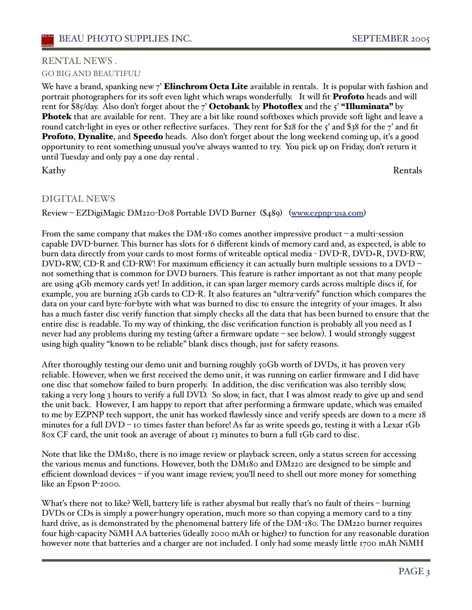#### RENTAL NEWS . GO BIG AND BEAUTIFUL!

We have a brand, spanking new  $\gamma'$  **Elinchrom Octa Lite** available in rentals. It is popular with fashion and portrait photographers for its soft even light which wraps wonderfully. It will fit **Profoto** heads and will rent for \$85/day. Also don't forget about the 7' Octobank by Photoflex and the  $5'$  "Illuminata" by **Photek** that are available for rent. They are a bit like round softboxes which provide soft light and leave a round catch-light in eyes or other reflective surfaces. They rent for \$28 for the 5' and \$38 for the 7' and fit **Profoto, Dynalite, and Speedo** heads. Also don't forget about the long weekend coming up, it's a good opportunity to rent something unusual you've always wanted to try. You pick up on Friday, don't return it until Tuesday and only pay a one day rental .

Kathy Rentals

### DIGITAL NEWS

Review – EZDigiMagic DM220-D08 Portable DVD Burner (\$489) (www.ezpnp-usa.com)

From the same company that makes the DM-180 comes another impressive product – a multi-session capable DVD-burner. This burner has slots for 6 different kinds of memory card and, as expected, is able to burn data directly from your cards to most forms of writeable optical media - DVD-R, DVD+R, DVD-RW, DVD+RW, CD-R and CD-RW! For maximum efficiency it can actually burn multiple sessions to a DVD – not something that is common for DVD burners. This feature is rather important as not that many people are using 4Gb memory cards yet! In addition, it can span larger memory cards across multiple discs if, for example, you are burning 2Gb cards to CD-R. It also features an "ultra-verify" function which compares the data on your card byte-for-byte with what was burned to disc to ensure the integrity of your images. It also has a much faster disc verify function that simply checks all the data that has been burned to ensure that the entire disc is readable. To my way of thinking, the disc verification function is probably all you need as I never had any problems during my testing (after a firmware update – see below). I would strongly suggest using high quality "known to be reliable" blank discs though, just for safety reasons.

After thoroughly testing our demo unit and burning roughly 50Gb worth of DVDs, it has proven very reliable. However, when we first received the demo unit, it was running on earlier firmware and I did have one disc that somehow failed to burn properly. In addition, the disc verification was also terribly slow, taking a very long 3 hours to verify a full DVD. So slow, in fact, that I was almost ready to give up and send the unit back. However, I am happy to report that after performing a firmware update, which was emailed to me by EZPNP tech support, the unit has worked flawlessly since and verify speeds are down to a mere 18 minutes for a full DVD – 10 times faster than before! As far as write speeds go, testing it with a Lexar 1Gb 80x CF card, the unit took an average of about 13 minutes to burn a full 1Gb card to disc.

Note that like the DM180, there is no image review or playback screen, only a status screen for accessing the various menus and functions. However, both the DM180 and DM220 are designed to be simple and efficient download devices – if you want image review, you'll need to shell out more money for something like an Epson P-2000.

What's there not to like? Well, battery life is rather abysmal but really that's no fault of theirs – burning DVDs or CDs is simply a power-hungry operation, much more so than copying a memory card to a tiny hard drive, as is demonstrated by the phenomenal battery life of the DM-180. The DM220 burner requires four high-capacity NiMH AA batteries (ideally 2000 mAh or higher) to function for any reasonable duration however note that batteries and a charger are not included. I only had some measly little 1700 mAh NiMH